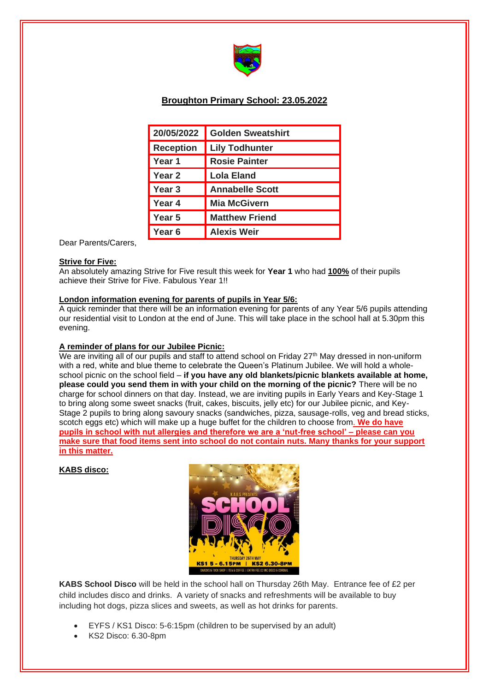

# **Broughton Primary School: 23.05.2022**

| 20/05/2022        | <b>Golden Sweatshirt</b> |
|-------------------|--------------------------|
| <b>Reception</b>  | <b>Lily Todhunter</b>    |
| Year 1            | <b>Rosie Painter</b>     |
| Year <sub>2</sub> | <b>Lola Eland</b>        |
| Year 3            | <b>Annabelle Scott</b>   |
| Year 4            | <b>Mia McGivern</b>      |
| Year 5            | <b>Matthew Friend</b>    |
| Year 6            | <b>Alexis Weir</b>       |

Dear Parents/Carers,

### **Strive for Five:**

An absolutely amazing Strive for Five result this week for **Year 1** who had **100%** of their pupils achieve their Strive for Five. Fabulous Year 1!!

# **London information evening for parents of pupils in Year 5/6:**

A quick reminder that there will be an information evening for parents of any Year 5/6 pupils attending our residential visit to London at the end of June. This will take place in the school hall at 5.30pm this evening.

# **A reminder of plans for our Jubilee Picnic:**

We are inviting all of our pupils and staff to attend school on Friday 27<sup>th</sup> May dressed in non-uniform with a red, white and blue theme to celebrate the Queen's Platinum Jubilee. We will hold a wholeschool picnic on the school field – **if you have any old blankets/picnic blankets available at home, please could you send them in with your child on the morning of the picnic?** There will be no charge for school dinners on that day. Instead, we are inviting pupils in Early Years and Key-Stage 1 to bring along some sweet snacks (fruit, cakes, biscuits, jelly etc) for our Jubilee picnic, and Key-Stage 2 pupils to bring along savoury snacks (sandwiches, pizza, sausage-rolls, veg and bread sticks, scotch eggs etc) which will make up a huge buffet for the children to choose from. **We do have pupils in school with nut allergies and therefore we are a 'nut-free school' – please can you make sure that food items sent into school do not contain nuts. Many thanks for your support in this matter.** 

# **KABS disco:**



**KABS School Disco** will be held in the school hall on Thursday 26th May. Entrance fee of £2 per child includes disco and drinks. A variety of snacks and refreshments will be available to buy including hot dogs, pizza slices and sweets, as well as hot drinks for parents.

- EYFS / KS1 Disco: 5-6:15pm (children to be supervised by an adult)
- KS2 Disco: 6.30-8pm